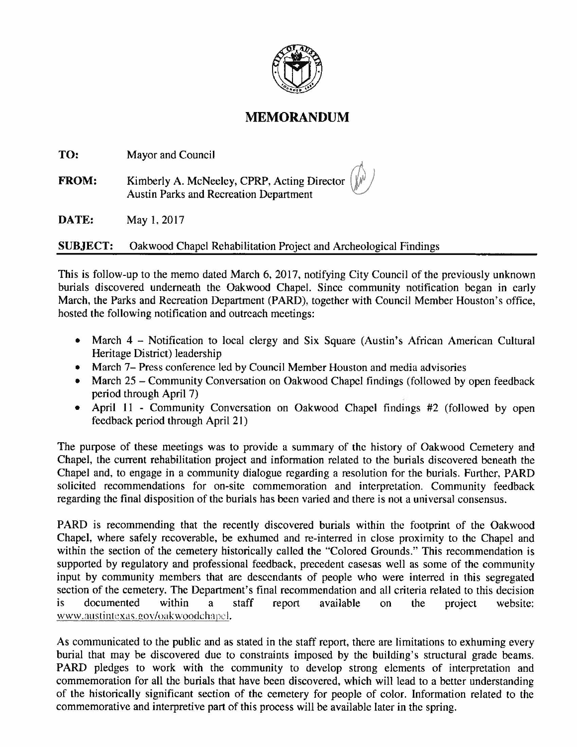

## **MEMORANDUM**

| TO:          | Mayor and Council                                                                                               |
|--------------|-----------------------------------------------------------------------------------------------------------------|
| <b>FROM:</b> | Kimberly A. McNeeley, CPRP, Acting Director $(\psi^{\varphi})$<br><b>Austin Parks and Recreation Department</b> |
| DATE:        | May 1, 2017                                                                                                     |

**SUBJECT:** Oakwood Chapel Rehabilitation Project and Archeological Findings

This is follow-up to the memo dated March 6, 2017, notifying City Council of the previously unknown burials discovered underneath the Oakwood Chapel. Since community notification began in early March, the Parks and Recreation Department (PARD), together with Council Member Houston's office, hosted the following notification and outreach meetings:

- March 4 Notification to local clergy and Six Square (Austin's African American Cultural Heritage District) leadership
- March 7- Press conference led by Council Member Houston and media advisories
- March 25 Community Conversation on Oakwood Chapel findings (followed by open feedback period through April 7)
- April 11 Community Conversation on Oakwood Chapel findings #2 (followed by open feedback period through April 21)

The purpose of these meetings was to provide a summary of the history of Oakwood Cemetery and Chapel, the current rehabilitation project and information related to the burials discovered beneath the Chapel and, to engage in a community dialogue regarding a resolution for the burials. Further, PARD solicited recommendations for on-site commemoration and interpretation. Community feedback regarding the final disposition of the burials has been varied and there is not a universal consensus.

PARD is recommending that the recently discovered burials within the footprint of the Oakwood Chapel, where safely recoverable, be exhumed and re-interred in close proximity to the Chapel and within the section of the cemetery historically called the "Colored Grounds." This recommendation is supported by regulatory and professional feedback, precedent casesas well as some of the community input by community members that are descendants of people who were interred in this segregated section of the cemetery. The Department's final recommendation and all criteria related to this decision is documented within a staff report available on the project website: www.mtstintexas.gov/oakwoodchapcl.

As communicated to the public and as stated in the staff report, there are limitations to exhuming every burial that may be discovered due to constraints imposed by the building's structural grade beams. PARD pledges to work with the community to develop strong elements of interpretation and commemoration for all the burials that have been discovered, which will lead to a better understanding of the historically significant section of the cemetery for people of color. Information related to the commemorative and interpretive part of this process will be available later in the spring.